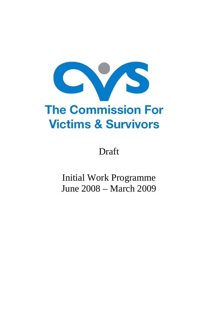

Draft

Initial Work Programme June 2008 – March 2009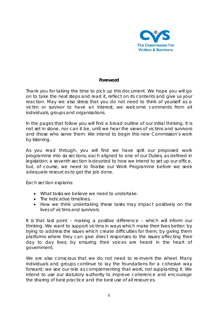

#### **Foreword**

Thank you for taking the time to pick up this document. We hope you will go on to take the next steps and read it, reflect on its contents and give us your reaction. May we also stress that you do not need to think of yourself as a victim or survivor to have an interest; we welcome comments from all individuals, groups and organisations.

In the pages that follow you will find a broad outline of our initial thinking. It is not set in stone, nor can it be, until we hear the views of victims and survivors and those who serve them. We intend to begin this new Commission's work by listening.

As you read through, you will find we have split our proposed work programme into six sections, each aligned to one of our Duties, as defined in legislation; a seventh section is devoted to how we intend to set up our office, but, of course, we need to finalise our Work Programme before we seek adequate resources to get the job done.

Each section explains:

- What tasks we believe we need to undertake.
- The indicative timelines.
- How we think undertaking these tasks may impact positively on the lives of victims and survivors.

It is that last point – making a positive difference – which will inform our thinking. We want to support victims in ways which make their lives better: by trying to address the issues which create difficulties for them; by giving them platforms where they can give direct responses to the issues affecting their day to day lives; by ensuring their voices are heard in the heart of government.

We are also conscious that we do not need to re-invent the wheel. Many individuals and groups continue to lay the foundations for a cohesive way forward; we see our role as complementing that work, not supplanting it. We intend to use our statutory authority to improve coherence and encourage the sharing of best practice and the best use of all resources.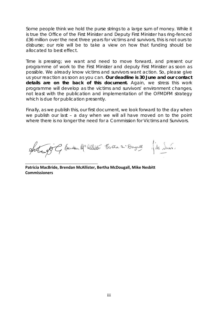Some people think we hold the purse strings to a large sum of money. While it is true the Office of the First Minister and Deputy First Minister has ring-fenced £36 million over the next three years for victims and survivors, this is not ours to disburse; our role will be to take a view on how that funding should be allocated to best effect.

Time is pressing; we want and need to move forward, and present our programme of work to the First Minister and deputy First Minister as soon as possible. We already know victims and survivors want action. So, please give us your reaction as soon as you can. **Our deadline is 30 June and our contact details are on the back of this document.** Again, we stress this work programme will develop as the victims and survivors' environment changes, not least with the publication and implementation of the OFMDFM strategy which is due for publication presently.

Finally, as we publish this, our first document, we look forward to the day when we publish our last – a day when we will all have moved on to the point where there is no longer the need for a Commission for Victims and Survivors.

Artifit, Bendan Mcalliste Bertra n°Dongall fike Serun.

**Patricia MacBride, Brendan McAllister, Bertha McDougall, Mike Nesbitt Commissioners** 

\_\_\_\_\_\_\_\_\_\_\_\_\_\_\_\_\_\_\_\_\_\_\_\_\_\_\_\_\_\_\_\_\_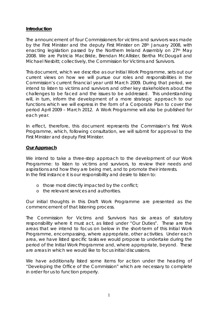#### **Introduction**

The announcement of four Commissioners for victims and survivors was made by the First Minister and the deputy First Minister on 28th January 2008, with enacting legislation passed by the Northern Ireland Assembly on 27th May 2008. We are Patricia MacBride, Brendan McAllister, Bertha McDougall and Michael Nesbitt; collectively, the Commission for Victims and Survivors.

This document, which we describe as our Initial Work Programme, sets out our current views on how we will pursue our roles and responsibilities in the Commission's current financial year until March 2009. During that period, we intend to listen to victims and survivors and other key stakeholders about the challenges to be faced and the issues to be addressed. This understanding will, in turn, inform the development of a more strategic approach to our functions which we will express in the form of a Corporate Plan to cover the period April 2009 – March 2012. A Work Programme will also be published for each year.

In effect, therefore, this document represents the Commission's first Work Programme, which, following consultation, we will submit for approval to the First Minister and deputy First Minister.

#### **Our Approach**

We intend to take a three-step approach to the development of our Work Programme: to listen to victims and survivors, to review their needs and aspirations and how they are being met, and to promote their interests. In the first instance it is our responsibility and desire to listen to:

- o those most directly impacted by the conflict;
- o the relevant services and authorities.

Our initial thoughts in this Draft Work Programme are presented as the commencement of that listening process.

The Commission for Victims and Survivors has six areas of statutory responsibility where it must act, as listed under "Our Duties". These are the areas that we intend to focus on below in the short-term of this Initial Work Programme, encompassing, where appropriate, other activities. Under each area, we have listed specific tasks we would propose to undertake during the period of the Initial Work Programme and, where appropriate, beyond. These are areas in which we would like to focus initial discussions.

We have additionally listed some items for action under the heading of "Developing the Office of the Commission" which are necessary to complete in order for us to function properly.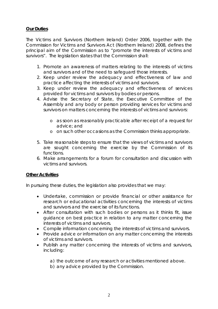## **Our Duties**

The Victims and Survivors (Northern Ireland) Order 2006, together with the Commission for Victims and Survivors Act (Northern Ireland) 2008, defines the principal aim of the Commission as to "promote the interests of victims and survivors". The legislation states that the Commission shall:

- 1. Promote an awareness of matters relating to the interests of victims and survivors and of the need to safeguard those interests.
- 2. Keep under review the adequacy and effectiveness of law and practice affecting the interests of victims and survivors.
- 3. Keep under review the adequacy and effectiveness of services provided for victims and survivors by bodies or persons.
- 4. Advise the Secretary of State, the Executive Committee of the Assembly and any body or person providing services for victims and survivors on matters concerning the interests of victims and survivors:
	- o as soon as reasonably practicable after receipt of a request for advice; and
	- o on such other occasions as the Commission thinks appropriate.
- 5. Take reasonable steps to ensure that the views of victims and survivors are sought concerning the exercise by the Commission of its functions.
- 6. Make arrangements for a forum for consultation and discussion with victims and survivors.

### **Other Activities**

In pursuing these duties, the legislation also provides that we may:

- Undertake, commission or provide financial or other assistance for research or educational activities concerning the interests of victims and survivors and the exercise of its functions.
- After consultation with such bodies or persons as it thinks fit, issue guidance on best practice in relation to any matter concerning the interests of victims and survivors.
- Compile information concerning the interests of victims and survivors.
- Provide advice or information on any matter concerning the interests of victims and survivors.
- Publish any matter concerning the interests of victims and survivors, including:
	- a) the outcome of any research or activities mentioned above.
	- b) any advice provided by the Commission.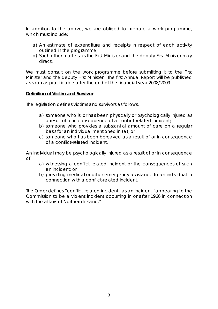In addition to the above, we are obliged to prepare a work programme, which must include:

- a) An estimate of expenditure and receipts in respect of each activity outlined in the programme;
- b) Such other matters as the First Minister and the deputy First Minister may direct.

We must consult on the work programme before submitting it to the First Minister and the deputy First Minister. The first Annual Report will be published as soon as practicable after the end of the financial year 2008/2009.

#### **Definition of Victim and Survivor**

The legislation defines victims and survivors as follows:

- a) someone who is, or has been physically or psychologically injured as a result of or in consequence of a conflict-related incident;
- b) someone who provides a substantial amount of care on a regular basis for an individual mentioned in (a), or
- c) someone who has been bereaved as a result of or in consequence of a conflict-related incident.

An individual may be psychologically injured as a result of or in consequence of:

- a) witnessing a conflict-related incident or the consequences of such an incident; or
- b) providing medical or other emergency assistance to an individual in connection with a conflict-related incident.

The Order defines "conflict-related incident" as an incident "appearing to the Commission to be a violent incident occurring in or after 1966 in connection with the affairs of Northern Ireland."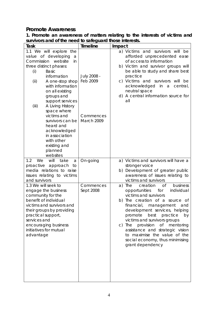## *Promote Awareness*

| Task                                                                                                                                                                                                                                                                                                                                                                                                                                      | <b>Timeline</b>                                    | Impact                                                                                                                                                                                                                                                                                                                                          |
|-------------------------------------------------------------------------------------------------------------------------------------------------------------------------------------------------------------------------------------------------------------------------------------------------------------------------------------------------------------------------------------------------------------------------------------------|----------------------------------------------------|-------------------------------------------------------------------------------------------------------------------------------------------------------------------------------------------------------------------------------------------------------------------------------------------------------------------------------------------------|
| 1.1 We will explore the<br>value of developing<br>a<br>Commission<br>website<br>in<br>three distinct phases:<br>(i)<br><b>Basic</b><br>information<br>(ii)<br>A one-stop shop<br>with information<br>on all existing<br>groups and<br>support services<br>(iii)<br>A Living History<br>space where<br>victims and<br>survivors can be<br>heard and<br>acknowledged<br>in association<br>with other<br>existing and<br>planned<br>websites | July 2008 -<br>Feb 2009<br>Commences<br>March 2009 | a) Victims and survivors will be<br>afforded unprecedented ease<br>of access to information<br>b) Victim and survivor groups will<br>be able to study and share best<br>practice<br>c) Victims and survivors<br>will be<br>acknowledged<br>in a<br>central,<br>neutral space<br>d) A central information source for<br>all                      |
| will<br>1.2<br>We<br>take<br>a<br>proactive approach<br>to<br>media relations to raise<br>issues relating to victims<br>and survivors<br>1.3 We will seek to<br>engage the business<br>community for the                                                                                                                                                                                                                                  | On-going<br>Commences<br>Sept 2008                 | a) Victims and survivors will have a<br>stronger voice<br>b) Development of greater public<br>awareness of issues relating to<br>victims and survivors<br>business<br><b>of</b><br>a) The<br>creation<br>opportunities<br>individual<br>for<br>victims and survivors                                                                            |
| benefit of individual<br>victims and survivors and<br>their groups by providing<br>practical support,<br>services and<br>encouraging business<br>initiatives for mutual<br>advantage                                                                                                                                                                                                                                                      |                                                    | b) The creation of a source of<br>financial,<br>management<br>and<br>development services, helping<br>promote<br>best practice<br>by<br>victims and survivors groups<br>provision<br>$\circ$ f<br>mentoring<br>c) The<br>assistance and strategic vision<br>to maximise the value of the<br>social economy, thus minimising<br>grant dependency |

**1. Promote an awareness of matters relating to the interests of victims and survivors and of the need to safeguard those interests.**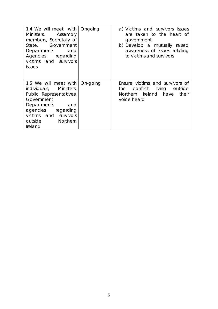| 1.4 We will meet with<br>Ministers, Assembly<br>members, Secretary of<br>State, Government<br>Departments<br>and<br>Agencies regarding<br>victims and survivors<br><i>issues</i>              | Ongoing  | a) Victims and survivors issues<br>are taken to the heart of<br>government<br>b) Develop a mutually raised<br>awareness of issues relating<br>to victims and survivors |
|-----------------------------------------------------------------------------------------------------------------------------------------------------------------------------------------------|----------|------------------------------------------------------------------------------------------------------------------------------------------------------------------------|
| 1.5 We will meet with<br>individuals, Ministers,<br>Public Representatives,<br>Government<br>Departments<br>and<br>agencies regarding<br>victims and survivors<br>outside Northern<br>Ireland | On-going | Ensure victims and survivors of<br>conflict living outside<br>the<br>Northern Ireland have<br>their<br>voice heard                                                     |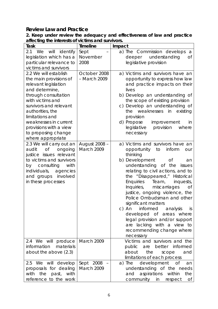# *Review Law and Practice*

| Task                          | <b>Timeline</b> | Impact                                             |
|-------------------------------|-----------------|----------------------------------------------------|
| 2.1<br>We<br>will<br>identify | Sept            | a) The Commission develops<br>a                    |
| legislation which has a       | November        | deeper understanding<br><b>of</b>                  |
| particular relevance to       | 2008            | legislative provision                              |
| victims and survivors         |                 |                                                    |
| 2.2 We will establish         | October 2008    | a) Victims and survivors have an                   |
| the main provisions of        | - March 2009    | opportunity to express how law                     |
| relevant legislation          |                 | and practice impacts on their                      |
| and determine,                |                 | lives                                              |
| through consultation          |                 | b) Develop an understanding of                     |
| with victims and              |                 | the scope of existing provision                    |
| survivors and relevant        |                 | c) Develop an understanding of                     |
| authorities, the              |                 | weaknesses in<br>existing<br>the                   |
| limitations and               |                 | provision                                          |
| weaknesses in current         |                 | d) Propose<br>improvement<br>in                    |
| provisions with a view        |                 | provision<br>legislative<br>where                  |
| to proposing change           |                 | necessary                                          |
| where appropriate             |                 |                                                    |
| 2.3 We will carry out an      | August 2008 -   | a) Victims and survivors have an                   |
| audit<br><b>of</b><br>ongoing | March 2009      | inform<br>opportunity to<br>our                    |
| justice issues relevant       |                 | thinking                                           |
| to victims and survivors      |                 | b) Development<br>Οf<br>an                         |
| consulting<br>with<br>by      |                 | understanding of the<br>issues                     |
| individuals,<br>agencies      |                 | relating to civil actions, and to                  |
| and groups involved           |                 | the "Disappeared," Historical                      |
| in these processes            |                 | Enquiries<br>Team,<br>inquests,                    |
|                               |                 | miscarriages<br>Inquiries,<br>Οf                   |
|                               |                 | justice, ongoing violence, the                     |
|                               |                 | Police Ombudsman and other                         |
|                               |                 | significant matters                                |
|                               |                 | informed analysis<br>c) An<br>is                   |
|                               |                 | developed of areas where                           |
|                               |                 | legal provision and/or support                     |
|                               |                 | are lacking with a view to                         |
|                               |                 | recommending change where                          |
| 2.4 We will produce           | March 2009      | necessary<br>Victims and survivors and the         |
| information<br>materials      |                 | better informed                                    |
| about the above (2.3)         |                 | public<br>are<br>about                             |
|                               |                 | the<br>scope<br>and<br>limitations of each process |
| 2.5 We will develop           | Sept 2008       | development<br>a) The<br>0f<br>an                  |
| proposals for dealing         | March 2009      | understanding of the needs                         |
| the<br>with<br>past,<br>with  |                 | aspirations<br>within<br>the<br>and                |
| reference to the work         |                 | community in respect<br>Οf                         |

**2. Keep under review the adequacy and effectiveness of law and practice affecting the interests of victims and survivors.**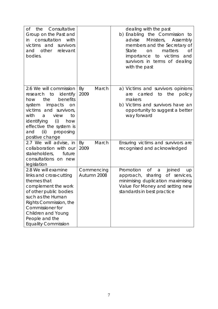| Consultative<br>the<br>Оf<br>Group on the Past and<br>consultation<br>with<br>in<br>survivors<br>victims<br>and<br>other<br>relevant<br>and<br>bodies.                                                                                                                 |                           | dealing with the past<br>b) Enabling the Commission to<br>Ministers, Assembly<br>advise<br>members and the Secretary of<br>matters<br>State<br><b>of</b><br>on<br>to victims<br>importance<br>and |
|------------------------------------------------------------------------------------------------------------------------------------------------------------------------------------------------------------------------------------------------------------------------|---------------------------|---------------------------------------------------------------------------------------------------------------------------------------------------------------------------------------------------|
|                                                                                                                                                                                                                                                                        |                           | survivors in terms of dealing<br>with the past                                                                                                                                                    |
| 2.6 We will commission<br>to<br>identify<br>research<br>benefits<br>the<br>how<br>system<br>impacts<br>on<br>victims and survivors,<br>with<br>view<br>to<br>a<br>(i)<br>identifying<br>how<br>effective the system is<br>(iii)<br>proposing<br>and<br>positive change | March<br>By<br>2009       | a) Victims and survivors opinions<br>carried<br>to<br>the<br>policy<br>are<br>makers<br>b) Victims and survivors have an<br>opportunity to suggest a better<br>way forward                        |
| 2.7 We will advise, in<br>collaboration with our<br>stakeholders,<br>future<br>consultations on new<br>legislation                                                                                                                                                     | By<br>March<br>2009       | Ensuring victims and survivors are<br>recognised and acknowledged                                                                                                                                 |
| 2.8 We will examine<br>links and cross-cutting<br>themes that<br>complement the work<br>of other public bodies<br>such as the Human<br>Rights Commission, the<br>Commissioner for<br>Children and Young<br>People and the<br><b>Equality Commission</b>                | Commencing<br>Autumn 2008 | <b>of</b><br>Promotion<br>joined<br>a<br>up<br>Of<br>approach,<br>sharing<br>services,<br>minimising duplication maximising<br>Value For Money and setting new<br>standards in best practice      |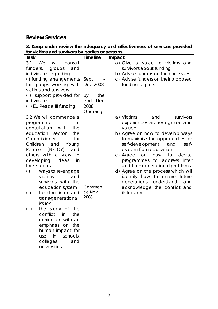# *Review Services*

## **3. Keep under review the adequacy and effectiveness of services provided for victims and survivors by bodies or persons.**

| <b>Task</b>                                                                                                                                                                                                                                                                                                                                                                                                                                                                                                                                                                                         | <b>Timeline</b>                                                | Impact                                                                                                                                                                                                                                                                                                                                                                                                                                                                                |
|-----------------------------------------------------------------------------------------------------------------------------------------------------------------------------------------------------------------------------------------------------------------------------------------------------------------------------------------------------------------------------------------------------------------------------------------------------------------------------------------------------------------------------------------------------------------------------------------------------|----------------------------------------------------------------|---------------------------------------------------------------------------------------------------------------------------------------------------------------------------------------------------------------------------------------------------------------------------------------------------------------------------------------------------------------------------------------------------------------------------------------------------------------------------------------|
| 3.1<br>We<br>will<br>consult<br>funders,<br>and<br>groups<br>individuals regarding<br>(i) funding arrangements<br>for groups working with<br>victims and survivors<br>(ii) support provided for<br>individuals<br>(iii) EU Peace III funding                                                                                                                                                                                                                                                                                                                                                        | Sept<br>Dec 2008<br>By<br>the<br>end<br>Dec<br>2008<br>Ongoing | a) Give a voice to victims and<br>survivors about funding<br>b) Advise funders on funding issues<br>c) Advise funders on their proposed<br>funding regimes                                                                                                                                                                                                                                                                                                                            |
| 3.2 We will commence a<br>Оf<br>programme<br>consultation<br>with<br>the<br>education<br>sector,<br>the<br>Commissioner<br>for<br>Children<br>and<br>Young<br>(NICCY)<br>People<br>and<br>others with a view<br>to<br>developing<br>ideas<br>in<br>three areas<br>(i)<br>ways to re-engage<br>victims<br>and<br>survivors with the<br>education system<br>tackling inter and<br>(i)<br>trans-generational<br>issues<br>(iii)<br>the study of the<br>conflict<br>the<br>in<br>curriculum with an<br>emphasis on the<br>human impact, for<br>in<br>schools,<br>use<br>colleges<br>and<br>universities | Commen<br>ce Nov<br>2008                                       | a) Victims<br>and<br>survivors<br>experiences are recognised and<br>valued<br>b) Agree on how to develop ways<br>to maximise the opportunities for<br>self-development<br>and<br>self-<br>esteem from education<br>how<br>c) Agree<br>on<br>to<br>devise<br>programmes to address<br>inter<br>and transgenerational problems<br>d) Agree on the process which will<br>identify how to ensure future<br>generations<br>understand<br>and<br>acknowledge the conflict and<br>its legacy |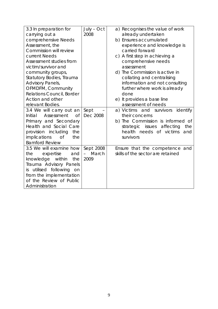| 3.3 In preparation for<br>carrying out a<br>comprehensive Needs<br>Assessment, the<br>Commission will review<br>current Needs<br>Assessment studies from<br>victim/survivor and                                       | $July - Oct$<br>2008                   | a) Recognises the value of work<br>already undertaken<br>b) Ensures accumulated<br>experience and knowledge is<br>carried forward<br>c) A first step in achieving a<br>comprehensive needs<br>assessment |
|-----------------------------------------------------------------------------------------------------------------------------------------------------------------------------------------------------------------------|----------------------------------------|----------------------------------------------------------------------------------------------------------------------------------------------------------------------------------------------------------|
| community groups,<br>Statutory Bodies, Trauma<br>Advisory Panels,<br>OFMDFM, Community<br><b>Relations Council, Border</b><br>Action and other<br>relevant Bodies.                                                    |                                        | d) The Commission is active in<br>collating and centralising<br>information and not consulting<br>further where work is already<br>done<br>e) It provides a base line<br>assessment of needs             |
| 3.4 We will carry out an<br>Assessment<br>Initial<br><b>of</b><br>Primary and Secondary<br>Health and Social Care<br>provision including<br>the<br>implications<br><b>of</b><br>the<br><b>Bamford Review</b>          | Sept<br>Dec 2008                       | a) Victims and survivors<br>identify<br>their concerns<br>b) The Commission is informed of<br>issues affecting<br>strategic<br>the<br>health needs of victims<br>and<br>survivors                        |
| 3.5 We will examine how<br>expertise<br>the<br>and<br>knowledge<br>within<br>the<br>Trauma Advisory Panels<br>utilised following<br>on<br>İS.<br>from the implementation<br>of the Review of Public<br>Administration | Sept 2008<br>March<br>$\equiv$<br>2009 | Ensure that the competence and<br>skills of the sector are retained                                                                                                                                      |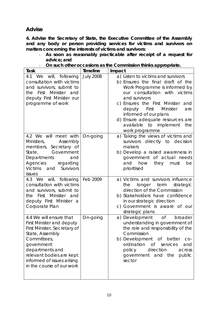# *Advise*

**4. Advise the Secretary of State, the Executive Committee of the Assembly and any body or person providing services for victims and survivors on matters concerning the interests of victims and survivors:** 

- **As soon as reasonably practicable after receipt of a request for advice; and**
- **On such other occasions as the Commission thinks appropriate.**

| Task                                                                                                                                                                                                                                                  | <b>Timeline</b>  | Impact                                                                                                                                                                                                                                                                                                                                                   |
|-------------------------------------------------------------------------------------------------------------------------------------------------------------------------------------------------------------------------------------------------------|------------------|----------------------------------------------------------------------------------------------------------------------------------------------------------------------------------------------------------------------------------------------------------------------------------------------------------------------------------------------------------|
| 4.1 We will, following<br>consultation with victims<br>and survivors, submit to<br>the First Minister and<br>deputy First Minister our<br>programme of work                                                                                           | <b>July 2008</b> | a) Listen to victims and survivors<br>b) Ensures the final draft of the<br>Work Programme is informed by<br>our consultation with victims<br>and survivors<br>c) Ensures the First Minister<br>and<br>First<br>Minister<br>deputy<br>are<br>informed of our plans<br>d) Ensure adequate resources are<br>available to implement<br>the<br>work programme |
| 4.2 We will meet with<br>Ministers,<br>Assembly<br>members, Secretary of<br>State,<br>Government<br>Departments<br>and<br>Agencies<br>regarding<br>Victims and Survivors<br><i>issues</i>                                                             | On-going         | a) Taking the views of victims and<br>survivors directly to decision<br>makers<br>b) Develop a raised awareness in<br>government of actual needs<br>and how<br>they<br>must<br>be<br>prioritised                                                                                                                                                         |
| 4.3 We will, following<br>consultation with victims<br>and survivors, submit to<br>the First Minister and<br>deputy First Minister a<br>Corporate Plan                                                                                                | Feb 2009         | a) Victims and survivors influence<br>longer term<br>strategic<br>the<br>direction of the Commission<br>b) Stakeholders have confidence<br>in our strategic direction<br>c) Government is aware of our<br>strategic plans                                                                                                                                |
| 4.4 We will ensure that<br><b>First Minister and deputy</b><br>First Minister, Secretary of<br>State, Assembly<br>Committees,<br>government<br>departments and<br>relevant bodies are kept<br>informed of issues arising<br>in the course of our work | On-going         | a) Development of<br>broader<br>understanding in government of<br>the role and responsibility of the<br>Commission<br>b) Development of better<br>CO-<br>ordination of services<br>and<br>direction<br>policy<br>across<br>government and the<br>public<br>sector                                                                                        |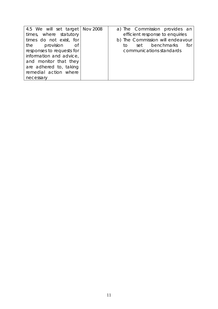| 4.5 We will set target Nov 2008 | a) The Commission provides an    |
|---------------------------------|----------------------------------|
| times, where statutory          | efficient response to enquiries  |
| times do not exist, for         | b) The Commission will endeavour |
| the provision of                | set benchmarks<br>for<br>to.     |
| responses to requests for       | communications standards         |
| information and advice,         |                                  |
| and monitor that they           |                                  |
| are adhered to, taking          |                                  |
| remedial action where           |                                  |
| necessary                       |                                  |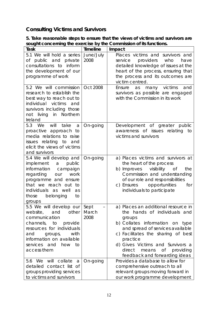# *Consulting Victims and Survivors*

**5. Take reasonable steps to ensure that the views of victims and survivors are sought concerning the exercise by the Commission of its functions.**   $\overline{\phantom{a}}$ 

| Task                                                                                                                                                                                                                             | <b>Timeline</b>   | Impact                                                                                                                                                                                                                                                                                                         |
|----------------------------------------------------------------------------------------------------------------------------------------------------------------------------------------------------------------------------------|-------------------|----------------------------------------------------------------------------------------------------------------------------------------------------------------------------------------------------------------------------------------------------------------------------------------------------------------|
| 5.1 We will hold a series<br>of public and private<br>consultations to inform<br>the development of our<br>programme of work                                                                                                     | June/July<br>2008 | Places victims and survivors and<br>providers<br>who<br>service<br>have<br>detailed knowledge of issues at the<br>heart of the process, ensuring that<br>the process and its outcomes are<br>victim centred.                                                                                                   |
| 5.2 We will commission<br>research to establish the<br>best way to reach out to<br>individual victims<br>and<br>survivors including those<br>Northern<br>not living<br>in<br>Ireland                                             | Oct 2008          | many victims<br>Ensure<br>and<br>as<br>survivors as possible are engaged<br>with the Commission in its work                                                                                                                                                                                                    |
| 5.3 We<br>will<br>take<br>a<br>proactive approach to<br>media relations to raise<br>issues relating to and<br>elicit the views of victims<br>and survivors                                                                       | On-going          | Development of greater public<br>awareness of issues relating to<br>victims and survivors                                                                                                                                                                                                                      |
| 5.4 We will develop and<br>implement a<br>public<br>information<br>campaign<br>regarding our<br>work<br>programme and ensure<br>that we reach out<br>to<br>individuals as well<br>as<br>those<br>belonging<br>to<br>groups       | On-going          | a) Places victims and survivors at<br>the heart of the process<br>b) Improves<br>visibility<br>of<br>the<br>Commission and understanding<br>of our role and responsibilities<br>c) Ensures opportunities<br>for<br>individuals to participate                                                                  |
| 5.5 We will develop our Sept<br>website, and other March<br>communication<br>channels, to provide<br>resources for individuals<br>with<br>and<br>groups,<br>information on available<br>services and<br>how<br>to<br>access them | 2008              | a) Places an additional resource in<br>the hands of individuals and<br>groups<br>b) Collates information on type<br>and spread of services available<br>c) Facilitates the sharing of best<br>practice<br>d) Gives Victims and Survivors a<br>direct<br>of providing<br>means<br>feedback and forwarding ideas |
| 5.6 We will<br>collate<br>a<br>detailed contact list of<br>groups providing services<br>to victims and survivors                                                                                                                 | On-going          | Provides a database to allow for<br>comprehensive outreach to all<br>relevant groups moving forward in<br>our work programme development                                                                                                                                                                       |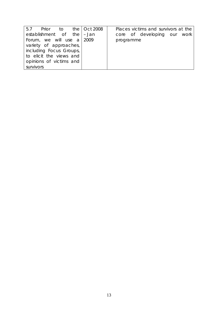| 5.7 Prior to the Oct 2008        | Places victims and survivors at the |
|----------------------------------|-------------------------------------|
| establishment of the $ -$ Jan    | core of developing our work         |
| Forum, we will use $a \mid 2009$ | programme                           |
| variety of approaches,           |                                     |
| including Focus Groups,          |                                     |
| to elicit the views and          |                                     |
| opinions of victims and          |                                     |
| survivors                        |                                     |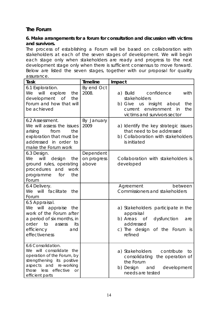# *The Forum*

### **6. Make arrangements for a forum for consultation and discussion with victims and survivors.**

*The process of establishing a Forum will be based on collaboration with stakeholders at each of the seven stages of development. We will begin*  each stage only when stakeholders are ready and progress to the next *development stage only when there is sufficient consensus to move forward. Below are listed the seven stages, together with our proposal for quality assurance.* 

| Task                                                                                                                                                                                              | <b>Timeline</b>                   | Impact                                                                                                                                                                                                                                                             |
|---------------------------------------------------------------------------------------------------------------------------------------------------------------------------------------------------|-----------------------------------|--------------------------------------------------------------------------------------------------------------------------------------------------------------------------------------------------------------------------------------------------------------------|
| 6.1 Exploration.<br>We<br>will explore<br>the<br>development of<br>the<br>Forum and how that will<br>be achieved                                                                                  | By end Oct<br>2008.               | a) Build<br>confidence<br>with<br>stakeholders<br>b) Give us insight about<br>the<br>environment<br>current<br>in<br>the<br>victims and survivors sector                                                                                                           |
| 6.2 Assessment.<br>We will assess the issues<br>from<br>arising<br>the<br>exploration that must be<br>addressed in order to<br>make the Forum work                                                | By January<br>2009                | a) Identify the key strategic issues<br>that need to be addressed<br>b) Collaboration with stakeholders<br>is initiated                                                                                                                                            |
| 6.3 Design.<br>will<br>We<br>the<br>design<br>ground rules, operating<br>procedures and<br>work<br>for<br>the<br>programme<br>Forum                                                               | Dependent<br>on progress<br>above | Collaboration with stakeholders is<br>developed                                                                                                                                                                                                                    |
| 6.4 Delivery.<br>We will facilitate<br>the<br>Forum                                                                                                                                               |                                   | between<br>Agreement<br><b>Commissioners and stakeholders</b>                                                                                                                                                                                                      |
| 6.5 Appraisal.<br>We will appraise<br>the<br>work of the Forum after<br>a period of six months, in<br>order<br>its<br>to<br>assess<br>efficiency<br>and<br>effectiveness                          |                                   | a) Stakeholders participate in the<br>appraisal<br>b) Areas<br>dysfunction<br>of the contract of the contract of the contract of the contract of the contract of the contract of the contract<br>are<br>addressed<br>c) The design of the Forum<br>- İS<br>refined |
| 6.6 Consolidation.<br>We will consolidate the<br>operation of the Forum, by<br>strengthening its positive<br>aspects and re-working<br>effective<br>those<br>less<br><b>or</b><br>efficient parts |                                   | contribute<br>a) Stakeholders<br>to<br>consolidating<br>the operation of<br>the Forum<br>b) Design<br>development<br>and<br>needs are tested                                                                                                                       |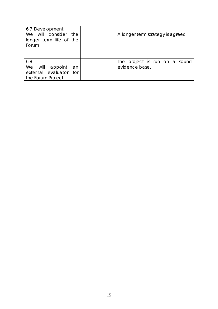| 6.7 Development.<br>We will consider the<br>longer term life of the<br>Forum | A longer term strategy is agreed                |
|------------------------------------------------------------------------------|-------------------------------------------------|
| 6.8<br>We will appoint<br>an<br>external evaluator for<br>the Forum Project  | The project is run on a sound<br>evidence base. |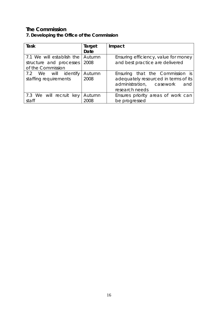# *The Commission*

# **7. Developing the Office of the Commission**

| Task                                          | Target         | Impact                                                                                                                       |
|-----------------------------------------------|----------------|------------------------------------------------------------------------------------------------------------------------------|
|                                               | Date           |                                                                                                                              |
| 7.1 We will establish the                     | Autumn         | Ensuring efficiency, value for money                                                                                         |
| structure and processes                       | 2008           | and best practice are delivered                                                                                              |
| of the Commission                             |                |                                                                                                                              |
| 7.2 We will identify<br>staffing requirements | Autumn<br>2008 | Ensuring that the Commission is<br>adequately resourced in terms of its<br>administration, casework<br>and<br>research needs |
| 7.3 We will recruit key<br>staff              | Autumn<br>2008 | Ensures priority areas of work can<br>be progressed                                                                          |